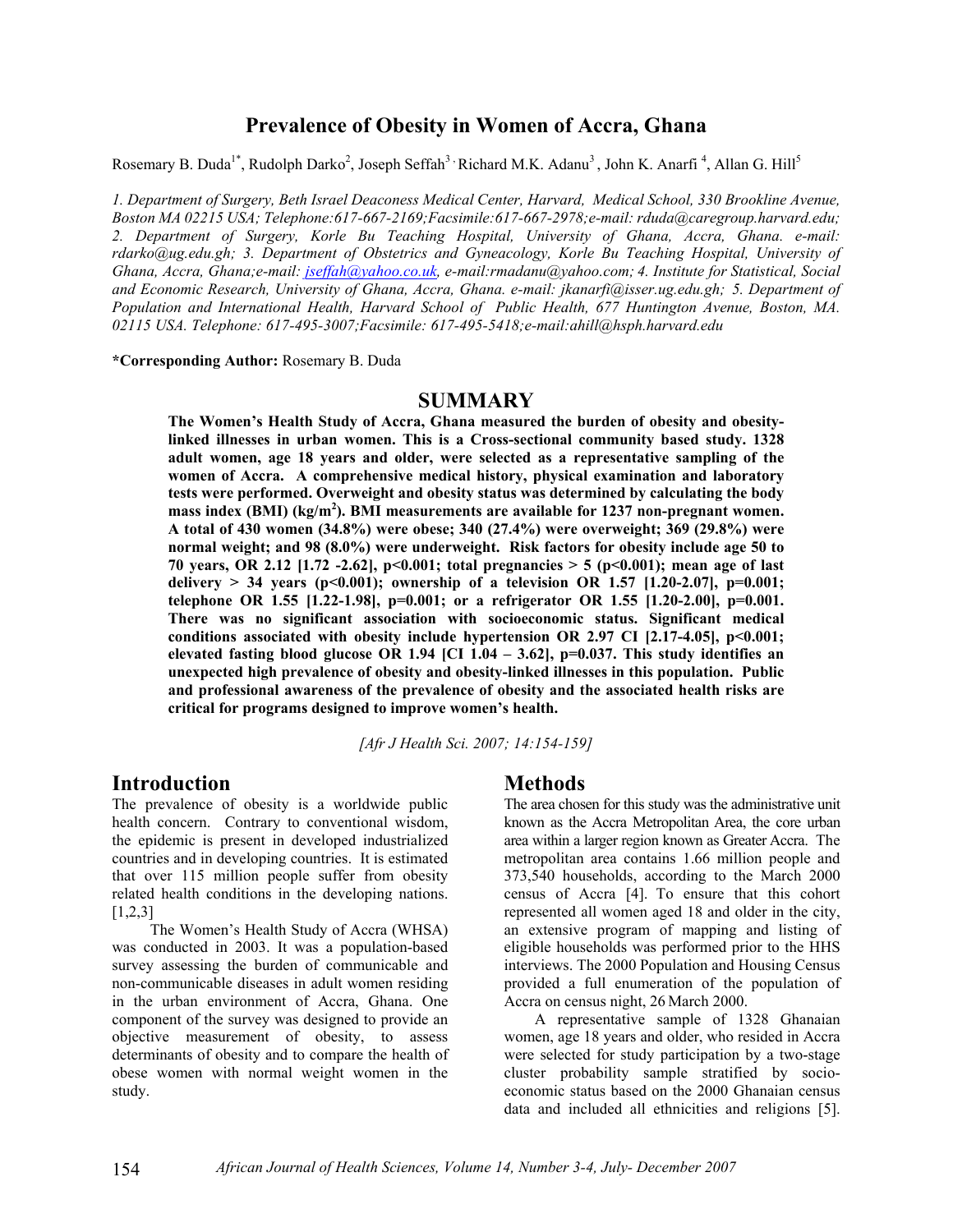## **Prevalence of Obesity in Women of Accra, Ghana**

Rosemary B. Duda<sup>1\*</sup>, Rudolph Darko<sup>2</sup>, Joseph Seffah<sup>3</sup>, Richard M.K. Adanu<sup>3</sup>, John K. Anarfi<sup>4</sup>, Allan G. Hill<sup>5</sup>

*1. Department of Surgery, Beth Israel Deaconess Medical Center, Harvard, Medical School, 330 Brookline Avenue, Boston MA 02215 USA; Telephone:617-667-2169;Facsimile:617-667-2978;e-mail: rduda@caregroup.harvard.edu; 2. Department of Surgery, Korle Bu Teaching Hospital, University of Ghana, Accra, Ghana. e-mail: rdarko@ug.edu.gh; 3. Department of Obstetrics and Gyneacology, Korle Bu Teaching Hospital, University of Ghana, Accra, Ghana;e-mail: jseffah@yahoo.co.uk, e-mail:rmadanu@yahoo.com; 4. Institute for Statistical, Social and Economic Research, University of Ghana, Accra, Ghana. e-mail: jkanarfi@isser.ug.edu.gh; 5. Department of Population and International Health, Harvard School of Public Health, 677 Huntington Avenue, Boston, MA. 02115 USA. Telephone: 617-495-3007;Facsimile: 617-495-5418;e-mail:ahill@hsph.harvard.edu* 

**\*Corresponding Author:** Rosemary B. Duda

### **SUMMARY**

**The Women's Health Study of Accra, Ghana measured the burden of obesity and obesitylinked illnesses in urban women. This is a Cross-sectional community based study. 1328 adult women, age 18 years and older, were selected as a representative sampling of the women of Accra. A comprehensive medical history, physical examination and laboratory tests were performed. Overweight and obesity status was determined by calculating the body**  mass index (BMI) (kg/m<sup>2</sup>). BMI measurements are available for 1237 non-pregnant women. **A total of 430 women (34.8%) were obese; 340 (27.4%) were overweight; 369 (29.8%) were normal weight; and 98 (8.0%) were underweight. Risk factors for obesity include age 50 to 70 years, OR 2.12 [1.72 -2.62], p<0.001; total pregnancies > 5 (p<0.001); mean age of last delivery > 34 years (p<0.001); ownership of a television OR 1.57 [1.20-2.07], p=0.001; telephone OR 1.55 [1.22-1.98], p=0.001; or a refrigerator OR 1.55 [1.20-2.00], p=0.001. There was no significant association with socioeconomic status. Significant medical**  conditions associated with obesity include hypertension OR 2.97 CI [2.17-4.05], p<0.001; **elevated fasting blood glucose OR 1.94 [CI 1.04 – 3.62], p=0.037. This study identifies an unexpected high prevalence of obesity and obesity-linked illnesses in this population. Public and professional awareness of the prevalence of obesity and the associated health risks are critical for programs designed to improve women's health.** 

*[Afr J Health Sci. 2007; 14:154-159]*

#### **Introduction**

The prevalence of obesity is a worldwide public health concern. Contrary to conventional wisdom, the epidemic is present in developed industrialized countries and in developing countries. It is estimated that over 115 million people suffer from obesity related health conditions in the developing nations. [1,2,3]

 The Women's Health Study of Accra (WHSA) was conducted in 2003. It was a population-based survey assessing the burden of communicable and non-communicable diseases in adult women residing in the urban environment of Accra, Ghana. One component of the survey was designed to provide an objective measurement of obesity, to assess determinants of obesity and to compare the health of obese women with normal weight women in the study.

#### **Methods**

The area chosen for this study was the administrative unit known as the Accra Metropolitan Area, the core urban area within a larger region known as Greater Accra. The metropolitan area contains 1.66 million people and 373,540 households, according to the March 2000 census of Accra [4]. To ensure that this cohort represented all women aged 18 and older in the city, an extensive program of mapping and listing of eligible households was performed prior to the HHS interviews. The 2000 Population and Housing Census provided a full enumeration of the population of Accra on census night, 26 March 2000.

 A representative sample of 1328 Ghanaian women, age 18 years and older, who resided in Accra were selected for study participation by a two-stage cluster probability sample stratified by socioeconomic status based on the 2000 Ghanaian census data and included all ethnicities and religions [5].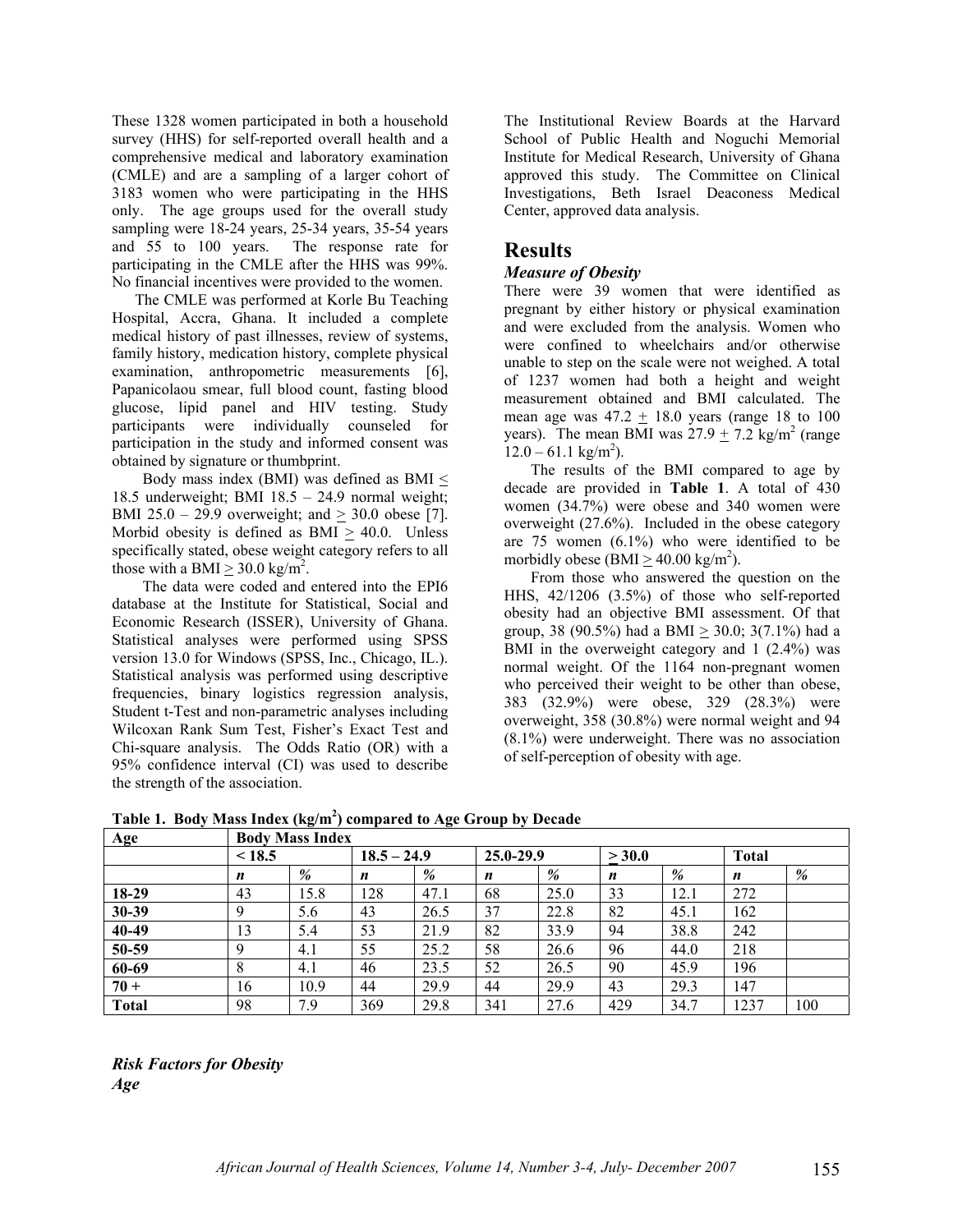These 1328 women participated in both a household survey (HHS) for self-reported overall health and a comprehensive medical and laboratory examination (CMLE) and are a sampling of a larger cohort of 3183 women who were participating in the HHS only. The age groups used for the overall study sampling were 18-24 years, 25-34 years, 35-54 years and 55 to 100 years. The response rate for participating in the CMLE after the HHS was 99%. No financial incentives were provided to the women.

 The CMLE was performed at Korle Bu Teaching Hospital, Accra, Ghana. It included a complete medical history of past illnesses, review of systems, family history, medication history, complete physical examination, anthropometric measurements [6], Papanicolaou smear, full blood count, fasting blood glucose, lipid panel and HIV testing. Study participants were individually counseled for participation in the study and informed consent was obtained by signature or thumbprint.

Body mass index (BMI) was defined as BMI  $\leq$ 18.5 underweight; BMI 18.5 – 24.9 normal weight; BMI 25.0 – 29.9 overweight; and > 30.0 obese [7]. Morbid obesity is defined as  $BMI > 40.0$ . Unless specifically stated, obese weight category refers to all those with a BMI  $\geq$  30.0 kg/m<sup>2</sup>.

 The data were coded and entered into the EPI6 database at the Institute for Statistical, Social and Economic Research (ISSER), University of Ghana. Statistical analyses were performed using SPSS version 13.0 for Windows (SPSS, Inc., Chicago, IL.). Statistical analysis was performed using descriptive frequencies, binary logistics regression analysis, Student t-Test and non-parametric analyses including Wilcoxan Rank Sum Test, Fisher's Exact Test and Chi-square analysis. The Odds Ratio (OR) with a 95% confidence interval (CI) was used to describe the strength of the association.

The Institutional Review Boards at the Harvard School of Public Health and Noguchi Memorial Institute for Medical Research, University of Ghana approved this study. The Committee on Clinical Investigations, Beth Israel Deaconess Medical Center, approved data analysis.

# **Results**

### *Measure of Obesity*

There were 39 women that were identified as pregnant by either history or physical examination and were excluded from the analysis. Women who were confined to wheelchairs and/or otherwise unable to step on the scale were not weighed. A total of 1237 women had both a height and weight measurement obtained and BMI calculated. The mean age was  $47.2 \pm 18.0$  years (range 18 to 100 years). The mean BMI was  $27.9 \pm 7.2$  kg/m<sup>2</sup> (range  $12.0 - 61.1$  kg/m<sup>2</sup>).

 The results of the BMI compared to age by decade are provided in **Table 1**. A total of 430 women (34.7%) were obese and 340 women were overweight (27.6%). Included in the obese category are 75 women (6.1%) who were identified to be morbidly obese (BMI  $\geq$  40.00 kg/m<sup>2</sup>).

 From those who answered the question on the HHS, 42/1206 (3.5%) of those who self-reported obesity had an objective BMI assessment. Of that group, 38 (90.5%) had a BMI  $\geq$  30.0; 3(7.1%) had a BMI in the overweight category and 1 (2.4%) was normal weight. Of the 1164 non-pregnant women who perceived their weight to be other than obese, 383 (32.9%) were obese, 329 (28.3%) were overweight, 358 (30.8%) were normal weight and 94 (8.1%) were underweight. There was no association of self-perception of obesity with age.

| Age          | <b>Body Mass Index</b> |      |               |      |                  |      |        |      |              |     |
|--------------|------------------------|------|---------------|------|------------------|------|--------|------|--------------|-----|
|              | < 18.5                 |      | $18.5 - 24.9$ |      | $25.0 - 29.9$    |      | > 30.0 |      | <b>Total</b> |     |
|              | n                      | %    | n             | %    | $\boldsymbol{n}$ | %    | n      | %    | n            | %   |
| 18-29        | 43                     | 15.8 | 128           | 47.1 | 68               | 25.0 | 33     | 12.1 | 272          |     |
| 30-39        | $\mathbf Q$            | 5.6  | 43            | 26.5 | 37               | 22.8 | 82     | 45.1 | 162          |     |
| 40-49        | 13                     | 5.4  | 53            | 21.9 | 82               | 33.9 | 94     | 38.8 | 242          |     |
| 50-59        | Q                      | 4.1  | 55            | 25.2 | 58               | 26.6 | 96     | 44.0 | 218          |     |
| 60-69        | 8                      | 4.1  | 46            | 23.5 | 52               | 26.5 | 90     | 45.9 | 196          |     |
| $70 +$       | 16                     | 10.9 | 44            | 29.9 | 44               | 29.9 | 43     | 29.3 | 147          |     |
| <b>Total</b> | 98                     | 7.9  | 369           | 29.8 | 341              | 27.6 | 429    | 34.7 | 1237         | 100 |

**Table 1. Body Mass Index (kg/m2 ) compared to Age Group by Decade** 

*Risk Factors for Obesity Age*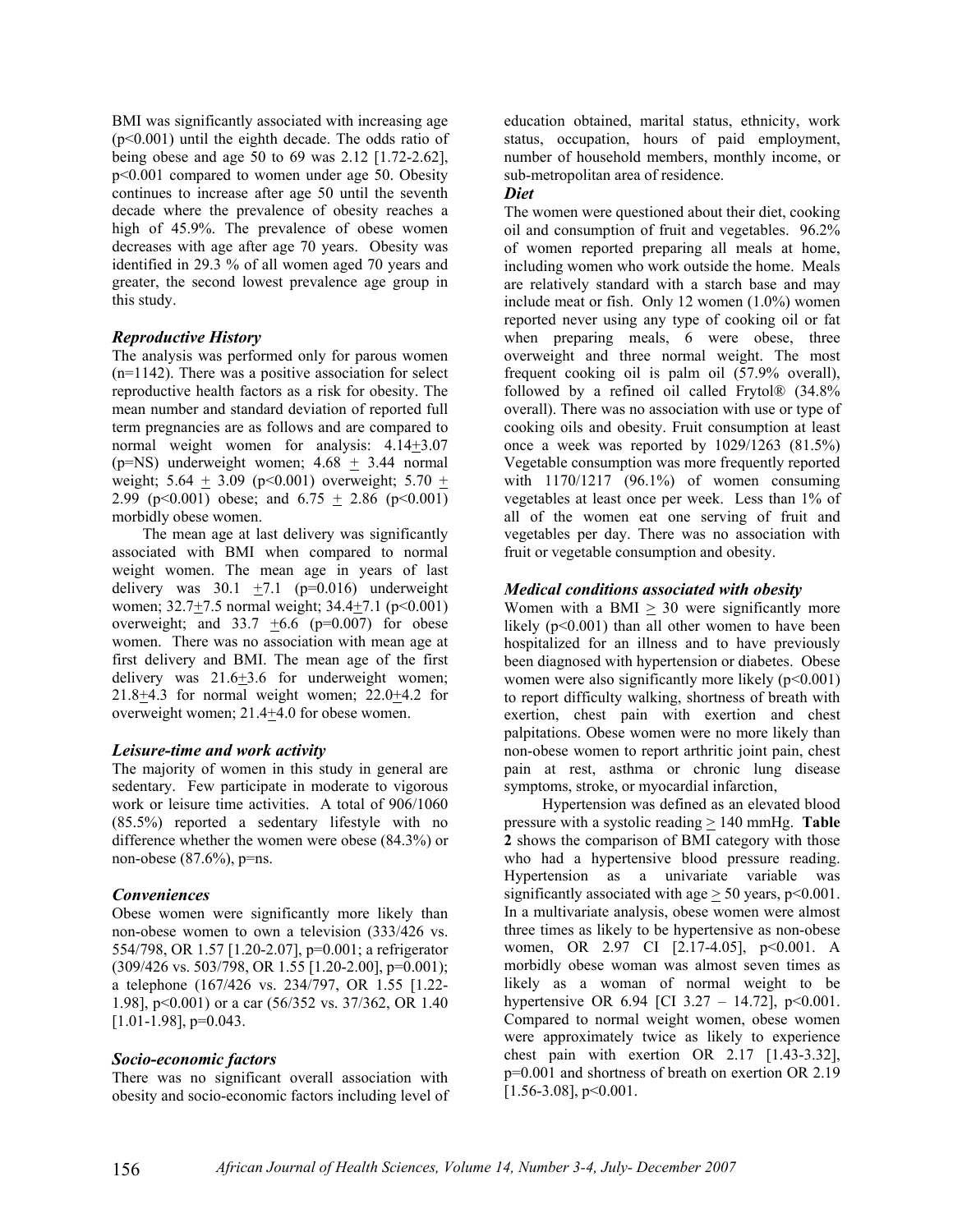BMI was significantly associated with increasing age (p<0.001) until the eighth decade. The odds ratio of being obese and age 50 to 69 was 2.12 [1.72-2.62], p<0.001 compared to women under age 50. Obesity continues to increase after age 50 until the seventh decade where the prevalence of obesity reaches a high of 45.9%. The prevalence of obese women decreases with age after age 70 years. Obesity was identified in 29.3 % of all women aged 70 years and greater, the second lowest prevalence age group in this study.

#### *Reproductive History*

The analysis was performed only for parous women  $(n=1142)$ . There was a positive association for select reproductive health factors as a risk for obesity. The mean number and standard deviation of reported full term pregnancies are as follows and are compared to normal weight women for analysis: 4.14+3.07 (p=NS) underweight women;  $4.68 \pm 3.44$  normal weight;  $5.64 \pm 3.09$  (p<0.001) overweight;  $5.70 \pm$ 2.99 (p<0.001) obese; and  $6.75 + 2.86$  (p<0.001) morbidly obese women.

 The mean age at last delivery was significantly associated with BMI when compared to normal weight women. The mean age in years of last delivery was  $30.1 +7.1$  (p=0.016) underweight women;  $32.7 \pm 7.5$  normal weight;  $34.4 \pm 7.1$  (p<0.001) overweight; and  $33.7 \pm 6.6$  (p=0.007) for obese women. There was no association with mean age at first delivery and BMI. The mean age of the first delivery was 21.6+3.6 for underweight women; 21.8+4.3 for normal weight women; 22.0+4.2 for overweight women; 21.4+4.0 for obese women.

#### *Leisure-time and work activity*

The majority of women in this study in general are sedentary. Few participate in moderate to vigorous work or leisure time activities. A total of 906/1060 (85.5%) reported a sedentary lifestyle with no difference whether the women were obese (84.3%) or non-obese  $(87.6\%)$ , p=ns.

### *Conveniences*

Obese women were significantly more likely than non-obese women to own a television (333/426 vs. 554/798, OR 1.57 [1.20-2.07], p=0.001; a refrigerator (309/426 vs. 503/798, OR 1.55 [1.20-2.00], p=0.001); a telephone (167/426 vs. 234/797, OR 1.55 [1.22- 1.98], p<0.001) or a car (56/352 vs. 37/362, OR 1.40 [1.01-1.98], p=0.043.

### *Socio-economic factors*

There was no significant overall association with obesity and socio-economic factors including level of education obtained, marital status, ethnicity, work status, occupation, hours of paid employment, number of household members, monthly income, or sub-metropolitan area of residence.

#### *Diet*

The women were questioned about their diet, cooking oil and consumption of fruit and vegetables. 96.2% of women reported preparing all meals at home, including women who work outside the home. Meals are relatively standard with a starch base and may include meat or fish. Only 12 women (1.0%) women reported never using any type of cooking oil or fat when preparing meals, 6 were obese, three overweight and three normal weight. The most frequent cooking oil is palm oil (57.9% overall), followed by a refined oil called Frytol® (34.8% overall). There was no association with use or type of cooking oils and obesity. Fruit consumption at least once a week was reported by 1029/1263 (81.5%) Vegetable consumption was more frequently reported with 1170/1217 (96.1%) of women consuming vegetables at least once per week. Less than 1% of all of the women eat one serving of fruit and vegetables per day. There was no association with fruit or vegetable consumption and obesity.

### *Medical conditions associated with obesity*

Women with a BMI  $\geq$  30 were significantly more likely (p<0.001) than all other women to have been hospitalized for an illness and to have previously been diagnosed with hypertension or diabetes. Obese women were also significantly more likely  $(p<0.001)$ to report difficulty walking, shortness of breath with exertion, chest pain with exertion and chest palpitations. Obese women were no more likely than non-obese women to report arthritic joint pain, chest pain at rest, asthma or chronic lung disease symptoms, stroke, or myocardial infarction,

 Hypertension was defined as an elevated blood pressure with a systolic reading  $\geq 140$  mmHg. **Table 2** shows the comparison of BMI category with those who had a hypertensive blood pressure reading. Hypertension as a univariate variable was significantly associated with age  $> 50$  years,  $p < 0.001$ . In a multivariate analysis, obese women were almost three times as likely to be hypertensive as non-obese women, OR 2.97 CI [2.17-4.05], p<0.001. A morbidly obese woman was almost seven times as likely as a woman of normal weight to be hypertensive OR 6.94 [CI 3.27 – 14.72],  $p \le 0.001$ . Compared to normal weight women, obese women were approximately twice as likely to experience chest pain with exertion OR 2.17 [1.43-3.32], p=0.001 and shortness of breath on exertion OR 2.19  $[1.56-3.08]$ , p<0.001.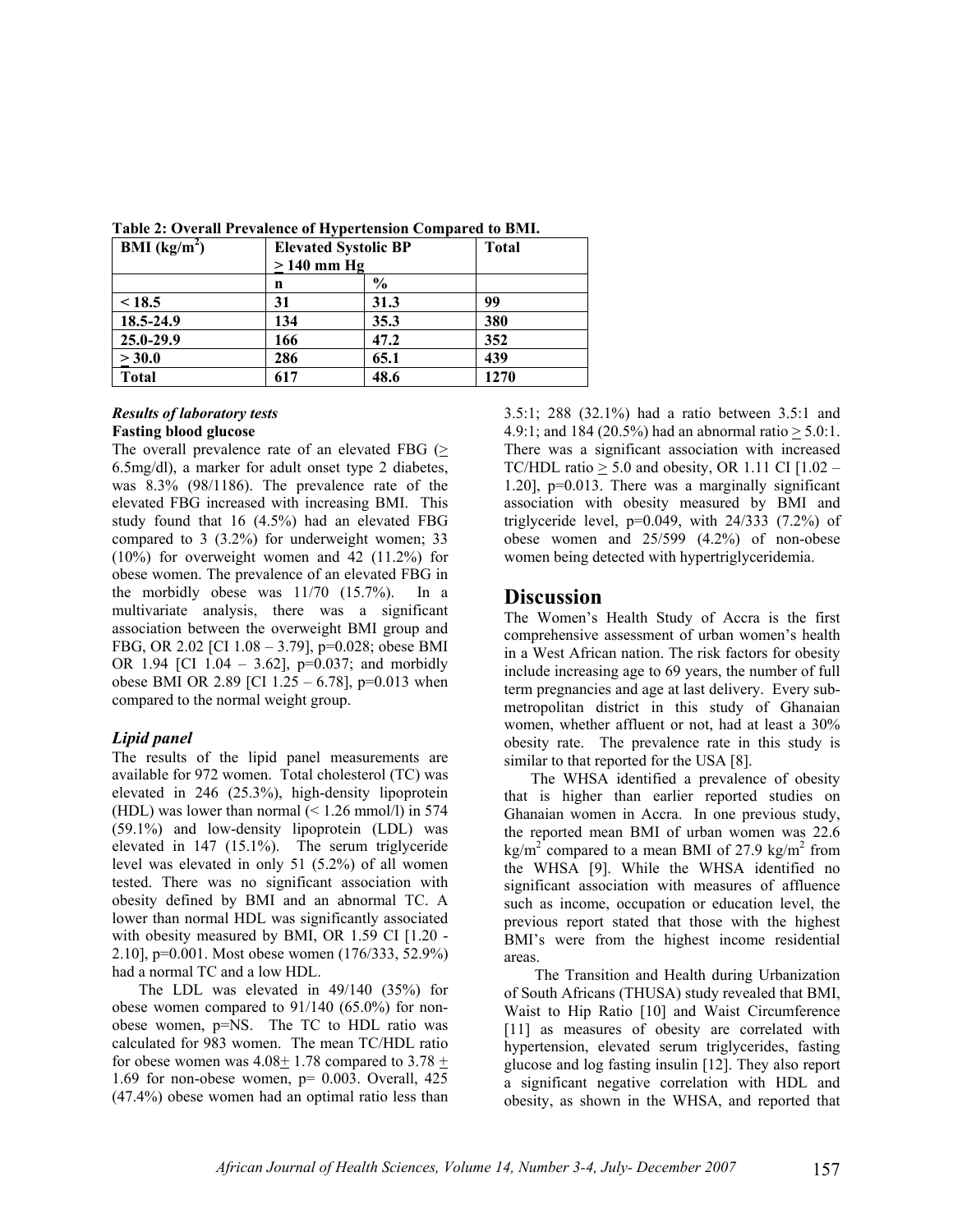| BMI $(kg/m2)$ |              | <b>Elevated Systolic BP</b> | <b>Total</b> |  |  |
|---------------|--------------|-----------------------------|--------------|--|--|
|               | $>140$ mm Hg |                             |              |  |  |
|               | n            | $\frac{0}{0}$               |              |  |  |
| < 18.5        | 31           | 31.3                        | 99           |  |  |
| 18.5-24.9     | 134          | 35.3                        | 380          |  |  |
| 25.0-29.9     | 166          | 47.2                        | 352          |  |  |
| > 30.0        | 286          | 65.1                        | 439          |  |  |
| <b>Total</b>  | 617          | 48.6                        | 1270         |  |  |

**Table 2: Overall Prevalence of Hypertension Compared to BMI.** 

#### *Results of laboratory tests*  **Fasting blood glucose**

The overall prevalence rate of an elevated FBG (> 6.5mg/dl), a marker for adult onset type 2 diabetes, was 8.3% (98/1186). The prevalence rate of the elevated FBG increased with increasing BMI. This study found that 16 (4.5%) had an elevated FBG compared to 3 (3.2%) for underweight women; 33 (10%) for overweight women and 42 (11.2%) for obese women. The prevalence of an elevated FBG in the morbidly obese was 11/70 (15.7%). In a multivariate analysis, there was a significant association between the overweight BMI group and FBG, OR 2.02 [CI 1.08 – 3.79], p=0.028; obese BMI OR 1.94 [CI 1.04 – 3.62],  $p=0.037$ ; and morbidly obese BMI OR 2.89 [CI  $1.25 - 6.78$ ], p=0.013 when compared to the normal weight group.

### *Lipid panel*

The results of the lipid panel measurements are available for 972 women. Total cholesterol (TC) was elevated in 246 (25.3%), high-density lipoprotein (HDL) was lower than normal  $\approx$  1.26 mmol/l) in 574 (59.1%) and low-density lipoprotein (LDL) was elevated in 147 (15.1%). The serum triglyceride level was elevated in only 51 (5.2%) of all women tested. There was no significant association with obesity defined by BMI and an abnormal TC. A lower than normal HDL was significantly associated with obesity measured by BMI, OR 1.59 CI [1.20 -2.10], p=0.001. Most obese women (176/333, 52.9%) had a normal TC and a low HDL.

 The LDL was elevated in 49/140 (35%) for obese women compared to 91/140 (65.0%) for nonobese women, p=NS. The TC to HDL ratio was calculated for 983 women. The mean TC/HDL ratio for obese women was  $4.08 \pm 1.78$  compared to  $3.78 \pm 1.78$ 1.69 for non-obese women,  $p= 0.003$ . Overall, 425 (47.4%) obese women had an optimal ratio less than

3.5:1; 288 (32.1%) had a ratio between 3.5:1 and 4.9:1; and 184 (20.5%) had an abnormal ratio  $> 5.0$ :1. There was a significant association with increased TC/HDL ratio  $> 5.0$  and obesity, OR 1.11 CI [1.02 – 1.20], p=0.013. There was a marginally significant association with obesity measured by BMI and triglyceride level,  $p=0.049$ , with  $24/333$   $(7.2\%)$  of obese women and 25/599 (4.2%) of non-obese women being detected with hypertriglyceridemia.

# **Discussion**

The Women's Health Study of Accra is the first comprehensive assessment of urban women's health in a West African nation. The risk factors for obesity include increasing age to 69 years, the number of full term pregnancies and age at last delivery. Every submetropolitan district in this study of Ghanaian women, whether affluent or not, had at least a 30% obesity rate. The prevalence rate in this study is similar to that reported for the USA [8].

 The WHSA identified a prevalence of obesity that is higher than earlier reported studies on Ghanaian women in Accra. In one previous study, the reported mean BMI of urban women was 22.6  $\text{kg/m}^2$  compared to a mean BMI of 27.9 kg/m<sup>2</sup> from the WHSA [9]. While the WHSA identified no significant association with measures of affluence such as income, occupation or education level, the previous report stated that those with the highest BMI's were from the highest income residential areas.

 The Transition and Health during Urbanization of South Africans (THUSA) study revealed that BMI, Waist to Hip Ratio [10] and Waist Circumference [11] as measures of obesity are correlated with hypertension, elevated serum triglycerides, fasting glucose and log fasting insulin [12]. They also report a significant negative correlation with HDL and obesity, as shown in the WHSA, and reported that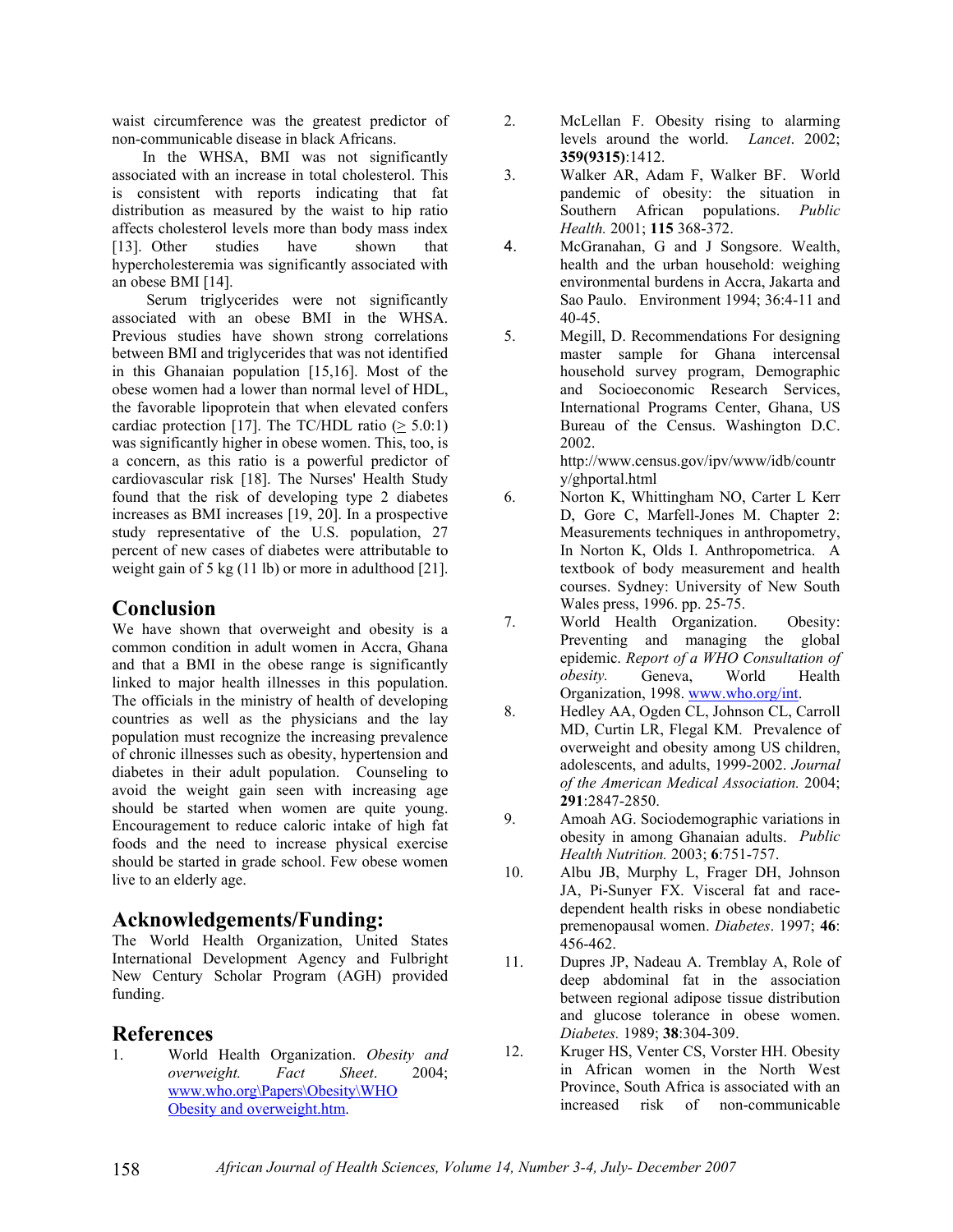waist circumference was the greatest predictor of non-communicable disease in black Africans.

 In the WHSA, BMI was not significantly associated with an increase in total cholesterol. This is consistent with reports indicating that fat distribution as measured by the waist to hip ratio affects cholesterol levels more than body mass index [13]. Other studies have shown that hypercholesteremia was significantly associated with an obese BMI [14].

 Serum triglycerides were not significantly associated with an obese BMI in the WHSA. Previous studies have shown strong correlations between BMI and triglycerides that was not identified in this Ghanaian population [15,16]. Most of the obese women had a lower than normal level of HDL, the favorable lipoprotein that when elevated confers cardiac protection [17]. The TC/HDL ratio ( $\geq 5.0:1$ ) was significantly higher in obese women. This, too, is a concern, as this ratio is a powerful predictor of cardiovascular risk [18]. The Nurses' Health Study found that the risk of developing type 2 diabetes increases as BMI increases [19, 20]. In a prospective study representative of the U.S. population, 27 percent of new cases of diabetes were attributable to weight gain of 5 kg (11 lb) or more in adulthood [21].

# **Conclusion**

We have shown that overweight and obesity is a common condition in adult women in Accra, Ghana and that a BMI in the obese range is significantly linked to major health illnesses in this population. The officials in the ministry of health of developing countries as well as the physicians and the lay population must recognize the increasing prevalence of chronic illnesses such as obesity, hypertension and diabetes in their adult population. Counseling to avoid the weight gain seen with increasing age should be started when women are quite young. Encouragement to reduce caloric intake of high fat foods and the need to increase physical exercise should be started in grade school. Few obese women live to an elderly age.

# **Acknowledgements/Funding:**

The World Health Organization, United States International Development Agency and Fulbright New Century Scholar Program (AGH) provided funding.

# **References**

1. World Health Organization. *Obesity and overweight. Fact Sheet*. 2004; www.who.org\Papers\Obesity\WHO Obesity and overweight.htm.

- 2. McLellan F. Obesity rising to alarming levels around the world. *Lancet*. 2002; **359(9315)**:1412.
- 3. Walker AR, Adam F, Walker BF. World pandemic of obesity: the situation in Southern African populations. *Public Health.* 2001; **115** 368-372.
- 4. McGranahan, G and J Songsore. Wealth, health and the urban household: weighing environmental burdens in Accra, Jakarta and Sao Paulo. Environment 1994; 36:4-11 and 40-45.
- 5. Megill, D. Recommendations For designing master sample for Ghana intercensal household survey program, Demographic and Socioeconomic Research Services, International Programs Center, Ghana, US Bureau of the Census. Washington D.C. 2002.

http://www.census.gov/ipv/www/idb/countr y/ghportal.html

- 6. Norton K, Whittingham NO, Carter L Kerr D, Gore C, Marfell-Jones M. Chapter 2: Measurements techniques in anthropometry, In Norton K, Olds I. Anthropometrica. A textbook of body measurement and health courses. Sydney: University of New South Wales press, 1996. pp. 25-75.
- 7. World Health Organization. Obesity: Preventing and managing the global epidemic. *Report of a WHO Consultation of obesity.* Geneva, World Health Organization, 1998. www.who.org/int.
- 8. Hedley AA, Ogden CL, Johnson CL, Carroll MD, Curtin LR, Flegal KM. Prevalence of overweight and obesity among US children, adolescents, and adults, 1999-2002. *Journal of the American Medical Association.* 2004; **291**:2847-2850.
- 9. Amoah AG. Sociodemographic variations in obesity in among Ghanaian adults. *Public Health Nutrition.* 2003; **6**:751-757.
- 10. Albu JB, Murphy L, Frager DH, Johnson JA, Pi-Sunyer FX. Visceral fat and racedependent health risks in obese nondiabetic premenopausal women. *Diabetes*. 1997; **46**: 456-462.
- 11. Dupres JP, Nadeau A. Tremblay A, Role of deep abdominal fat in the association between regional adipose tissue distribution and glucose tolerance in obese women. *Diabetes.* 1989; **38**:304-309.
- 12. Kruger HS, Venter CS, Vorster HH. Obesity in African women in the North West Province, South Africa is associated with an increased risk of non-communicable